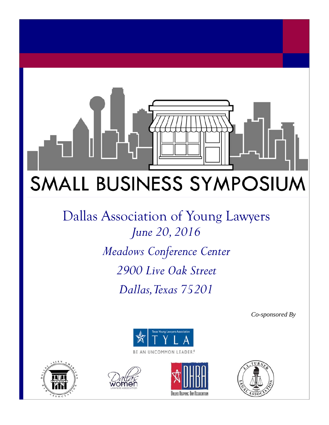# SMALL BUSINESS SYMPOSIUM

Dallas Association of Young Lawyers *June 20, 2016 Meadows Conference Center 2900 Live Oak Street Dallas, Texas 75201* 

*Co-sponsored By* 









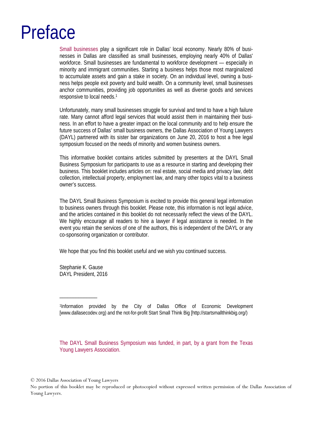## Preface

Small businesses play a significant role in Dallas' local economy. Nearly 80% of businesses in Dallas are classified as small businesses, employing nearly 40% of Dallas' workforce. Small businesses are fundamental to workforce development — especially in minority and immigrant communities. Starting a business helps those most marginalized to accumulate assets and gain a stake in society. On an individual level, owning a business helps people exit poverty and build wealth. On a community level, small businesses anchor communities, providing job opportunities as well as diverse goods and services responsive to local needs.1

Unfortunately, many small businesses struggle for survival and tend to have a high failure rate. Many cannot afford legal services that would assist them in maintaining their business. In an effort to have a greater impact on the local community and to help ensure the future success of Dallas' small business owners, the Dallas Association of Young Lawyers (DAYL) partnered with its sister bar organizations on June 20, 2016 to host a free legal symposium focused on the needs of minority and women business owners.

This informative booklet contains articles submitted by presenters at the DAYL Small Business Symposium for participants to use as a resource in starting and developing their business. This booklet includes articles on: real estate, social media and privacy law, debt collection, intellectual property, employment law, and many other topics vital to a business owner's success.

The DAYL Small Business Symposium is excited to provide this general legal information to business owners through this booklet. Please note, this information is not legal advice, and the articles contained in this booklet do not necessarily reflect the views of the DAYL. We highly encourage all readers to hire a lawyer if legal assistance is needed. In the event you retain the services of one of the authors, this is independent of the DAYL or any co-sponsoring organization or contributor.

We hope that you find this booklet useful and we wish you continued success.

Stephanie K. Gause DAYL President, 2016

\_\_\_\_\_\_\_\_\_\_\_\_\_\_

1Information provided by the City of Dallas Office of Economic Development [www.dallasecodev.org) and the not-for-profit Start Small Think Big [http://startsmallthinkbig.org/)

The DAYL Small Business Symposium was funded, in part, by a grant from the Texas Young Lawyers Association.

© 2016 Dallas Association of Young Lawyers

No portion of this booklet may be reproduced or photocopied without expressed written permission of the Dallas Association of Young Lawyers.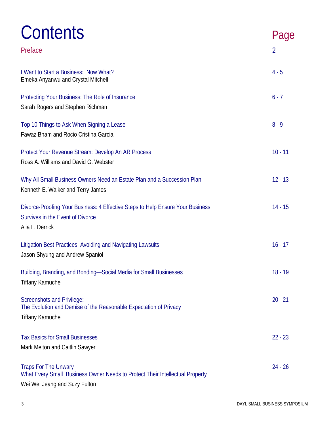| Contents<br>Preface                                                                                                                          | Page<br>$\overline{2}$ |
|----------------------------------------------------------------------------------------------------------------------------------------------|------------------------|
| I Want to Start a Business: Now What?<br>Emeka Anyanwu and Crystal Mitchell                                                                  | $4 - 5$                |
| Protecting Your Business: The Role of Insurance<br>Sarah Rogers and Stephen Richman                                                          | $6 - 7$                |
| Top 10 Things to Ask When Signing a Lease<br>Fawaz Bham and Rocio Cristina Garcia                                                            | $8 - 9$                |
| Protect Your Revenue Stream: Develop An AR Process<br>Ross A. Williams and David G. Webster                                                  | $10 - 11$              |
| Why All Small Business Owners Need an Estate Plan and a Succession Plan<br>Kenneth E. Walker and Terry James                                 | $12 - 13$              |
| Divorce-Proofing Your Business: 4 Effective Steps to Help Ensure Your Business<br>Survives in the Event of Divorce<br>Alia L. Derrick        | $14 - 15$              |
| Litigation Best Practices: Avoiding and Navigating Lawsuits<br>Jason Shyung and Andrew Spaniol                                               | $16 - 17$              |
| Building, Branding, and Bonding—Social Media for Small Businesses<br><b>Tiffany Kamuche</b>                                                  | $18 - 19$              |
| <b>Screenshots and Privilege:</b><br>The Evolution and Demise of the Reasonable Expectation of Privacy<br><b>Tiffany Kamuche</b>             | $20 - 21$              |
| <b>Tax Basics for Small Businesses</b><br>Mark Melton and Caitlin Sawyer                                                                     | $22 - 23$              |
| <b>Traps For The Unwary</b><br>What Every Small Business Owner Needs to Protect Their Intellectual Property<br>Wei Wei Jeang and Suzy Fulton | $24 - 26$              |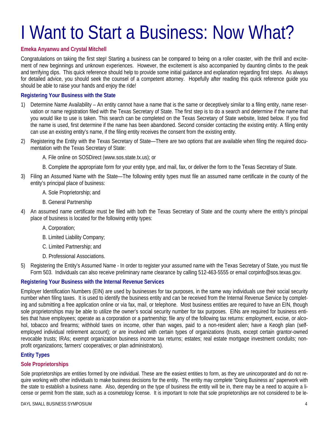## I Want to Start a Business: Now What?

#### **Emeka Anyanwu and Crystal Mitchell**

Congratulations on taking the first step! Starting a business can be compared to being on a roller coaster, with the thrill and excitement of new beginnings and unknown experiences. However, the excitement is also accompanied by daunting climbs to the peak and terrifying dips. This quick reference should help to provide some initial guidance and explanation regarding first steps. As always for detailed advice, you should seek the counsel of a competent attorney. Hopefully after reading this quick reference guide you should be able to raise your hands and enjoy the ride!

#### **Registering Your Business with the State**

- 1) Determine Name Availability An entity cannot have a name that is the same or deceptively similar to a filing entity, name reservation or name registration filed with the Texas Secretary of State. The first step is to do a search and determine if the name that you would like to use is taken. This search can be completed on the Texas Secretary of State website, listed below. If you find the name is used, first determine if the name has been abandoned. Second consider contacting the existing entity. A filing entity can use an existing entity's name, if the filing entity receives the consent from the existing entity.
- 2) Registering the Entity with the Texas Secretary of State—There are two options that are available when filing the required documentation with the Texas Secretary of State:

A. File online on SOSDirect (www.sos.state.tx.us); or

B. Complete the appropriate form for your entity type, and mail, fax, or deliver the form to the Texas Secretary of State.

- 3) Filing an Assumed Name with the State—The following entity types must file an assumed name certificate in the county of the entity's principal place of business:
	- A. Sole Proprietorship; and
	- B. General Partnership
- 4) An assumed name certificate must be filed with both the Texas Secretary of State and the county where the entity's principal place of business is located for the following entity types:
	- A. Corporation;
	- B. Limited Liability Company;
	- C. Limited Partnership; and
	- D. Professional Associations.
- 5) Registering the Entity's Assumed Name In order to register your assumed name with the Texas Secretary of State, you must file Form 503. Individuals can also receive preliminary name clearance by calling 512-463-5555 or email corpinfo@sos.texas.gov.

#### **Registering Your Business with the Internal Revenue Services**

Employer Identification Numbers (EIN) are used by businesses for tax purposes, in the same way individuals use their social security number when filing taxes. It is used to identify the business entity and can be received from the Internal Revenue Service by completing and submitting a free application online or via fax, mail, or telephone. Most business entities are required to have an EIN, though sole proprietorships may be able to utilize the owner's social security number for tax purposes. EINs are required for business entities that have employees; operate as a corporation or a partnership; file any of the following tax returns: employment, excise, or alcohol, tobacco and firearms; withhold taxes on income, other than wages, paid to a non-resident alien; have a Keogh plan (selfemployed individual retirement account); or are involved with certain types of organizations (trusts, except certain grantor-owned revocable trusts; IRAs; exempt organization business income tax returns; estates; real estate mortgage investment conduits; nonprofit organizations; farmers' cooperatives; or plan administrators).

#### **Entity Types**

#### **Sole Proprietorships**

Sole proprietorships are entities formed by one individual. These are the easiest entities to form, as they are unincorporated and do not require working with other individuals to make business decisions for the entity. The entity may complete "Doing Business as" paperwork with the state to establish a business name. Also, depending on the type of business the entity will be in, there may be a need to acquire a license or permit from the state, such as a cosmetology license. It is important to note that sole proprietorships are not considered to be le-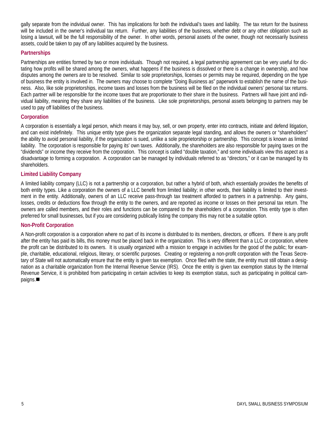gally separate from the individual owner. This has implications for both the individual's taxes and liability. The tax return for the business will be included in the owner's individual tax return. Further, any liabilities of the business, whether debt or any other obligation such as losing a lawsuit, will be the full responsibility of the owner. In other words, personal assets of the owner, though not necessarily business assets, could be taken to pay off any liabilities acquired by the business.

#### **Partnerships**

Partnerships are entities formed by two or more individuals. Though not required, a legal partnership agreement can be very useful for dictating how profits will be shared among the owners, what happens if the business is dissolved or there is a change in ownership, and how disputes among the owners are to be resolved. Similar to sole proprietorships, licenses or permits may be required, depending on the type of business the entity is involved in. The owners may choose to complete "Doing Business as" paperwork to establish the name of the business. Also, like sole proprietorships, income taxes and losses from the business will be filed on the individual owners' personal tax returns. Each partner will be responsible for the income taxes that are proportionate to their share in the business. Partners will have joint and individual liability, meaning they share any liabilities of the business. Like sole proprietorships, personal assets belonging to partners may be used to pay off liabilities of the business.

#### **Corporation**

A corporation is essentially a legal person, which means it may buy, sell, or own property, enter into contracts, initiate and defend litigation, and can exist indefinitely. This unique entity type gives the organization separate legal standing, and allows the owners or "shareholders" the ability to avoid personal liability, if the organization is sued, unlike a sole proprietorship or partnership. This concept is known as limited liability. The corporation is responsible for paying its' own taxes. Additionally, the shareholders are also responsible for paying taxes on the "dividends" or income they receive from the corporation. This concept is called "double taxation," and some individuals view this aspect as a disadvantage to forming a corporation. A corporation can be managed by individuals referred to as "directors," or it can be managed by its shareholders.

#### **Limited Liability Company**

A limited liability company (LLC) is not a partnership or a corporation, but rather a hybrid of both, which essentially provides the benefits of both entity types. Like a corporation the owners of a LLC benefit from limited liability; in other words, their liability is limited to their investment in the entity. Additionally, owners of an LLC receive pass-through tax treatment afforded to partners in a partnership. Any gains, losses, credits or deductions flow through the entity to the owners, and are reported as income or losses on their personal tax return. The owners are called members, and their roles and functions can be compared to the shareholders of a corporation. This entity type is often preferred for small businesses, but if you are considering publically listing the company this may not be a suitable option.

#### **Non-Profit Corporation**

A Non-profit corporation is a corporation where no part of its income is distributed to its members, directors, or officers. If there is any profit after the entity has paid its bills, this money must be placed back in the organization. This is very different than a LLC or corporation, where the profit can be distributed to its owners. It is usually organized with a mission to engage in activities for the good of the public; for example, charitable, educational, religious, literary, or scientific purposes. Creating or registering a non-profit corporation with the Texas Secretary of State will not automatically ensure that the entity is given tax exemption. Once filed with the state, the entity must still obtain a designation as a charitable organization from the Internal Revenue Service (IRS). Once the entity is given tax exemption status by the Internal Revenue Service, it is prohibited from participating in certain activities to keep its exemption status, such as participating in political campaigns.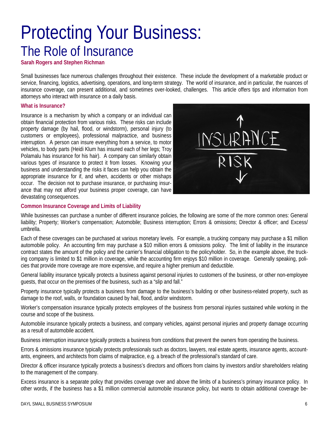### Protecting Your Business: The Role of Insurance

**Sarah Rogers and Stephen Richman**

Small businesses face numerous challenges throughout their existence. These include the development of a marketable product or service, financing, logistics, advertising, operations, and long-term strategy. The world of insurance, and in particular, the nuances of insurance coverage, can present additional, and sometimes over-looked, challenges. This article offers tips and information from attorneys who interact with insurance on a daily basis.

#### **What is Insurance?**

Insurance is a mechanism by which a company or an individual can obtain financial protection from various risks. These risks can include property damage (by hail, flood, or windstorm), personal injury (to customers or employees), professional malpractice, and business interruption. A person can insure everything from a service, to motor vehicles, to body parts (Heidi Klum has insured each of her legs; Troy Polamalu has insurance for his hair). A company can similarly obtain various types of insurance to protect it from losses. Knowing your business and understanding the risks it faces can help you obtain the appropriate insurance for if, and when, accidents or other mishaps occur. The decision not to purchase insurance, or purchasing insurance that may not afford your business proper coverage, can have devastating consequences.



#### **Common Insurance Coverage and Limits of Liability**

While businesses can purchase a number of different insurance policies, the following are some of the more common ones: General liability; Property; Worker's compensation; Automobile; Business interruption; Errors & omissions; Director & officer; and Excess/ umbrella.

Each of these coverages can be purchased at various monetary levels. For example, a trucking company may purchase a \$1 million automobile policy. An accounting firm may purchase a \$10 million errors & omissions policy. The limit of liability in the insurance contract states the amount of the policy and the carrier's financial obligation to the policyholder. So, in the example above, the trucking company is limited to \$1 million in coverage, while the accounting firm enjoys \$10 million in coverage. Generally speaking, policies that provide more coverage are more expensive, and require a higher premium and deductible.

General liability insurance typically protects a business against personal injuries to customers of the business, or other non-employee guests, that occur on the premises of the business, such as a "slip and fall."

Property insurance typically protects a business from damage to the business's building or other business-related property, such as damage to the roof, walls, or foundation caused by hail, flood, and/or windstorm.

Worker's compensation insurance typically protects employees of the business from personal injuries sustained while working in the course and scope of the business.

Automobile insurance typically protects a business, and company vehicles, against personal injuries and property damage occurring as a result of automobile accident.

Business interruption insurance typically protects a business from conditions that prevent the owners from operating the business.

Errors & omissions insurance typically protects professionals such as doctors, lawyers, real estate agents, insurance agents, accountants, engineers, and architects from claims of malpractice, e.g. a breach of the professional's standard of care.

Director & officer insurance typically protects a business's directors and officers from claims by investors and/or shareholders relating to the management of the company.

Excess insurance is a separate policy that provides coverage over and above the limits of a business's primary insurance policy. In other words, if the business has a \$1 million commercial automobile insurance policy, but wants to obtain additional coverage be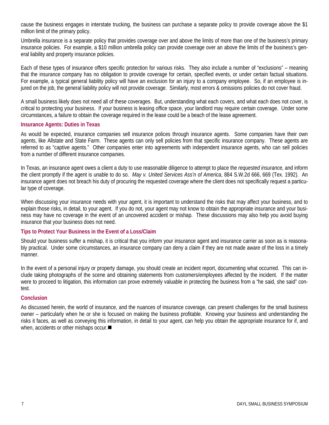cause the business engages in interstate trucking, the business can purchase a separate policy to provide coverage above the \$1 million limit of the primary policy.

Umbrella insurance is a separate policy that provides coverage over and above the limits of more than one of the business's primary insurance policies. For example, a \$10 million umbrella policy can provide coverage over an above the limits of the business's general liability and property insurance policies.

Each of these types of insurance offers specific protection for various risks. They also include a number of "exclusions" – meaning that the insurance company has no obligation to provide coverage for certain, specified events, or under certain factual situations. For example, a typical general liability policy will have an exclusion for an injury to a company employee. So, if an employee is injured on the job, the general liability policy will not provide coverage. Similarly, most errors & omissions policies do not cover fraud.

A small business likely does not need all of these coverages. But, understanding what each covers, and what each does not cover, is critical to protecting your business. If your business is leasing office space, your landlord may require certain coverage. Under some circumstances, a failure to obtain the coverage required in the lease could be a beach of the lease agreement.

#### **Insurance Agents: Duties in Texas**

As would be expected, insurance companies sell insurance polices through insurance agents. Some companies have their own agents, like Allstate and State Farm. These agents can only sell policies from that specific insurance company. These agents are referred to as "captive agents." Other companies enter into agreements with independent insurance agents, who can sell policies from a number of different insurance companies.

In Texas, an insurance agent owes a client a duty to use reasonable diligence to attempt to place the *requested insurance*, and inform the client promptly if the agent is unable to do so. *May v. United Services Ass'n of America*, 884 S.W.2d 666, 669 (Tex. 1992). An insurance agent does not breach his duty of procuring the requested coverage where the client does not specifically request a particular type of coverage.

When discussing your insurance needs with your agent, it is important to understand the risks that may affect your business, and to explain those risks, in detail, to your agent. If you do not, your agent may not know to obtain the appropriate insurance and your business may have no coverage in the event of an uncovered accident or mishap. These discussions may also help you avoid buying insurance that your business does not need.

#### **Tips to Protect Your Business in the Event of a Loss/Claim**

Should your business suffer a mishap, it is critical that you inform your insurance agent and insurance carrier as soon as is reasonably practical. Under some circumstances, an insurance company can deny a claim if they are not made aware of the loss in a timely manner.

In the event of a personal injury or property damage, you should create an incident report, documenting what occurred. This can include taking photographs of the scene and obtaining statements from customers/employees affected by the incident. If the matter were to proceed to litigation, this information can prove extremely valuable in protecting the business from a "he said, she said" contest.

#### **Conclusion**

As discussed herein, the world of insurance, and the nuances of insurance coverage, can present challenges for the small business owner – particularly when he or she is focused on making the business profitable. Knowing your business and understanding the risks it faces, as well as conveying this information, in detail to your agent, can help you obtain the appropriate insurance for if, and when, accidents or other mishaps occur.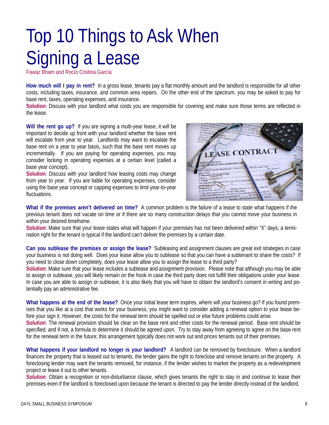## Top 10 Things to Ask When Signing a Lease

Fawaz Bham and Rocío Cristina García

**How much will I pay in rent?** In a gross lease, tenants pay a flat monthly amount and the landlord is responsible for all other costs, including taxes, insurance, and common area repairs. On the other end of the spectrum, you may be asked to pay for base rent, taxes, operating expenses, and insurance.

**Solution**: Discuss with your landlord what costs you are responsible for covering and make sure those terms are reflected in the lease.

**Will the rent go up?** If you are signing a multi-year lease, it will be important to decide up front with your landlord whether the base rent will escalate from year to year. Landlords may want to escalate the base rent on a year to year basis, such that the base rent moves up incrementally. If you are paying for operating expenses, you may consider locking in operating expenses at a certain level (called a base year concept).

**Solution**: Discuss with your landlord how leasing costs may change from year to year. If you are liable for operating expenses, consider using the base year concept or capping expenses to limit year-to-year fluctuations.



**What if the premises aren't delivered on time?** A common problem is the failure of a lease to state what happens if the previous tenant does not vacate on time or if there are so many construction delays that you cannot move your business in within your desired timeframe.

**Solution**: Make sure that your lease states what will happen if your premises has not been delivered within "X" days; a termination right for the tenant is typical if the landlord can't deliver the premises by a certain date.

**Can you sublease the premises or assign the lease?** Subleasing and assignment clauses are great exit strategies in case your business is not doing well. Does your lease allow you to sublease so that you can have a subtenant to share the costs? If you need to close down completely, does your lease allow you to assign the lease to a third party?

**Solution**: Make sure that your lease includes a sublease and assignment provision. Please note that although you may be able to assign or sublease, you will likely remain on the hook in case the third party does not fulfill their obligations under your lease. In case you are able to assign or sublease, it is also likely that you will have to obtain the landlord's consent in writing and potentially pay an administrative fee.

**What happens at the end of the lease?** Once your initial lease term expires, where will your business go? If you found premises that you like at a cost that works for your business, you might want to consider adding a renewal option to your lease before your sign it. However, the costs for the renewal term should be spelled out or else future problems could arise.

**Solution**: The renewal provision should be clear on the base rent and other costs for the renewal period. Base rent should be specified, and if not, a formula to determine it should be agreed upon. Try to stay away from agreeing to agree on the base rent for the renewal term in the future; this arrangement typically does not work out and prices tenants out of their premises.

**What happens if your landlord no longer is your landlord?** A landlord can be removed by foreclosure. When a landlord finances the property that is leased out to tenants, the lender gains the right to foreclose and remove tenants on the property. A foreclosing lender may want the tenants removed, for instance, if the lender wishes to market the property as a redevelopment project or lease it out to other tenants.

**Solution**: Obtain a recognition or non-disturbance clause, which gives tenants the right to stay in and continue to lease their premises even if the landlord is foreclosed upon because the tenant is directed to pay the lender directly instead of the landlord.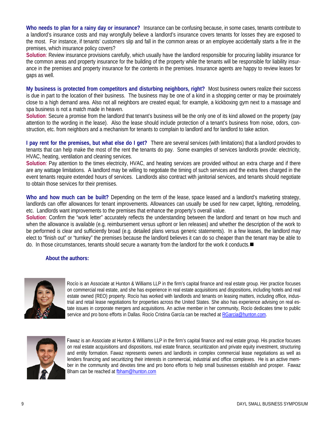**Who needs to plan for a rainy day or insurance?** Insurance can be confusing because, in some cases, tenants contribute to a landlord's insurance costs and may wrongfully believe a landlord's insurance covers tenants for losses they are exposed to the most. For instance, if tenants' customers slip and fall in the common areas or an employee accidentally starts a fire in the premises, which insurance policy covers?

**Solution**: Review insurance provisions carefully, which usually have the landlord responsible for procuring liability insurance for the common areas and property insurance for the building of the property while the tenants will be responsible for liability insurance in the premises and property insurance for the contents in the premises. Insurance agents are happy to review leases for gaps as well.

**My business is protected from competitors and disturbing neighbors, right?** Most business owners realize their success is due in part to the location of their business. The business may be one of a kind in a shopping center or may be proximately close to a high demand area. Also not all neighbors are created equal; for example, a kickboxing gym next to a massage and spa business is not a match made in heaven.

**Solution**: Secure a promise from the landlord that tenant's business will be the only one of its kind allowed on the property (pay attention to the wording in the lease). Also the lease should include protection of a tenant's business from noise, odors, construction, etc. from neighbors and a mechanism for tenants to complain to landlord and for landlord to take action.

**I pay rent for the premises, but what else do I get?** There are several services (with limitations) that a landlord provides to tenants that can help make the most of the rent the tenants do pay. Some examples of services landlords provide: electricity, HVAC, heating, ventilation and cleaning services.

**Solution**: Pay attention to the times electricity, HVAC, and heating services are provided without an extra charge and if there are any wattage limitations. A landlord may be willing to negotiate the timing of such services and the extra fees charged in the event tenants require extended hours of services. Landlords also contract with janitorial services, and tenants should negotiate to obtain those services for their premises.

**Who and how much can be built?** Depending on the term of the lease, space leased and a landlord's marketing strategy, landlords can offer allowances for tenant improvements. Allowances can usually be used for new carpet, lighting, remodeling, etc. Landlords want improvements to the premises that enhance the property's overall value.

**Solution**: Confirm the "work letter" accurately reflects the understanding between the landlord and tenant on how much and when the allowance is available (e.g. reimbursement versus upfront or lien releases) and whether the description of the work to be performed is clear and sufficiently broad (e.g. detailed plans versus generic statements). In a few leases, the landlord may elect to "finish out" or "turnkey" the premises because the landlord believes it can do so cheaper than the tenant may be able to do. In those circumstances, tenants should secure a warranty from the landlord for the work it conducts.

#### **About the authors:**



Rocío is an Associate at Hunton & Williams LLP in the firm's capital finance and real estate group. Her practice focuses on commercial real estate, and she has experience in real estate acquisitions and dispositions, including hotels and real estate owned (REO) property. Rocío has worked with landlords and tenants on leasing matters, including office, industrial and retail lease negotiations for properties across the United States. She also has experience advising on real estate issues in corporate mergers and acquisitions. An active member in her community, Rocío dedicates time to public service and pro bono efforts in Dallas. Rocío Cristina García can be reached at RGarcia@hunton.com.



Fawaz is an Associate at Hunton & Williams LLP in the firm's capital finance and real estate group. His practice focuses on real estate acquisitions and dispositions, real estate finance, securitization and private equity investment, structuring and entity formation. Fawaz represents owners and landlords in complex commercial lease negotiations as well as lenders financing and securitizing their interests in commercial, industrial and office complexes. He is an active member in the community and devotes time and pro bono efforts to help small businesses establish and prosper. Fawaz Bham can be reached at fbham@hunton.com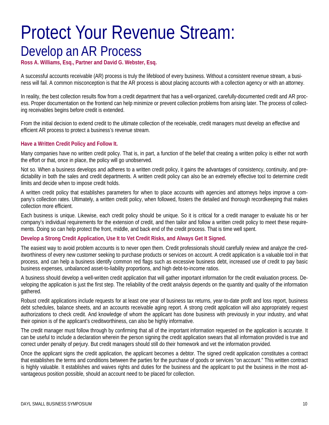### Protect Your Revenue Stream: Develop an AR Process

**Ross A. Williams, Esq., Partner and David G. Webster, Esq.** 

A successful accounts receivable (AR) process is truly the lifeblood of every business. Without a consistent revenue stream, a business will fail. A common misconception is that the AR process is about placing accounts with a collection agency or with an attorney.

In reality, the best collection results flow from a credit department that has a well-organized, carefully-documented credit and AR process. Proper documentation on the frontend can help minimize or prevent collection problems from arising later. The process of collecting receivables begins before credit is extended.

From the initial decision to extend credit to the ultimate collection of the receivable, credit managers must develop an effective and efficient AR process to protect a business's revenue stream.

#### **Have a Written Credit Policy and Follow It.**

Many companies have no written credit policy. That is, in part, a function of the belief that creating a written policy is either not worth the effort or that, once in place, the policy will go unobserved.

Not so. When a business develops and adheres to a written credit policy, it gains the advantages of consistency, continuity, and predictability in both the sales and credit departments. A written credit policy can also be an extremely effective tool to determine credit limits and decide when to impose credit holds.

A written credit policy that establishes parameters for when to place accounts with agencies and attorneys helps improve a company's collection rates. Ultimately, a written credit policy, when followed, fosters the detailed and thorough recordkeeping that makes collection more efficient.

Each business is unique. Likewise, each credit policy should be unique. So it is critical for a credit manager to evaluate his or her company's individual requirements for the extension of credit, and then tailor and follow a written credit policy to meet these requirements. Doing so can help protect the front, middle, and back end of the credit process. That is time well spent.

#### **Develop a Strong Credit Application, Use It to Vet Credit Risks, and Always Get It Signed.**

The easiest way to avoid problem accounts is to never open them. Credit professionals should carefully review and analyze the creditworthiness of every new customer seeking to purchase products or services on account. A credit application is a valuable tool in that process, and can help a business identify common red flags such as excessive business debt, increased use of credit to pay basic business expenses, unbalanced asset-to-liability proportions, and high debt-to-income ratios.

A business should develop a well-written credit application that will gather important information for the credit evaluation process. Developing the application is just the first step. The reliability of the credit analysis depends on the quantity and quality of the information gathered.

Robust credit applications include requests for at least one year of business tax returns, year-to-date profit and loss report, business debt schedules, balance sheets, and an accounts receivable aging report. A strong credit application will also appropriately request authorizations to check credit. And knowledge of whom the applicant has done business with previously in your industry, and what their opinion is of the applicant's creditworthiness, can also be highly informative.

The credit manager must follow through by confirming that all of the important information requested on the application is accurate. It can be useful to include a declaration wherein the person signing the credit application swears that all information provided is true and correct under penalty of perjury. But credit managers should still do their homework and vet the information provided.

Once the applicant signs the credit application, the applicant becomes a debtor. The signed credit application constitutes a contract that establishes the terms and conditions between the parties for the purchase of goods or services "on account." This written contract is highly valuable. It establishes and waives rights and duties for the business and the applicant to put the business in the most advantageous position possible, should an account need to be placed for collection.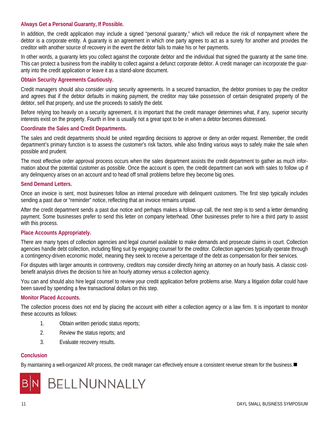#### **Always Get a Personal Guaranty, If Possible.**

In addition, the credit application may include a signed "personal guaranty," which will reduce the risk of nonpayment where the debtor is a corporate entity. A guaranty is an agreement in which one party agrees to act as a surety for another and provides the creditor with another source of recovery in the event the debtor fails to make his or her payments.

In other words, a guaranty lets you collect against the corporate debtor and the individual that signed the guaranty at the same time. This can protect a business from the inability to collect against a defunct corporate debtor. A credit manager can incorporate the guaranty into the credit application or leave it as a stand-alone document.

#### **Obtain Security Agreements Cautiously.**

Credit managers should also consider using security agreements. In a secured transaction, the debtor promises to pay the creditor and agrees that if the debtor defaults in making payment, the creditor may take possession of certain designated property of the debtor, sell that property, and use the proceeds to satisfy the debt.

Before relying too heavily on a security agreement, it is important that the credit manager determines what, if any, superior security interests exist on the property. Fourth in line is usually not a great spot to be in when a debtor becomes distressed.

#### **Coordinate the Sales and Credit Departments.**

The sales and credit departments should be united regarding decisions to approve or deny an order request. Remember, the credit department's primary function is to assess the customer's risk factors, while also finding various ways to safely make the sale when possible and prudent.

The most effective order approval process occurs when the sales department assists the credit department to gather as much information about the potential customer as possible. Once the account is open, the credit department can work with sales to follow up if any delinquency arises on an account and to head off small problems before they become big ones.

#### **Send Demand Letters.**

Once an invoice is sent, most businesses follow an internal procedure with delinquent customers. The first step typically includes sending a past due or "reminder" notice, reflecting that an invoice remains unpaid.

After the credit department sends a past due notice and perhaps makes a follow-up call, the next step is to send a letter demanding payment. Some businesses prefer to send this letter on company letterhead. Other businesses prefer to hire a third party to assist with this process.

#### **Place Accounts Appropriately.**

There are many types of collection agencies and legal counsel available to make demands and prosecute claims in court. Collection agencies handle debt collection, including filing suit by engaging counsel for the creditor. Collection agencies typically operate through a contingency-driven economic model, meaning they seek to receive a percentage of the debt as compensation for their services.

For disputes with larger amounts in controversy, creditors may consider directly hiring an attorney on an hourly basis. A classic costbenefit analysis drives the decision to hire an hourly attorney versus a collection agency.

You can and should also hire legal counsel to review your credit application before problems arise. Many a litigation dollar could have been saved by spending a few transactional dollars on this step.

#### **Monitor Placed Accounts.**

The collection process does not end by placing the account with either a collection agency or a law firm. It is important to monitor these accounts as follows:

- 1. Obtain written periodic status reports;
- 2. Review the status reports; and
- 3. Evaluate recovery results.

#### **Conclusion**

By maintaining a well-organized AR process, the credit manager can effectively ensure a consistent revenue stream for the business.

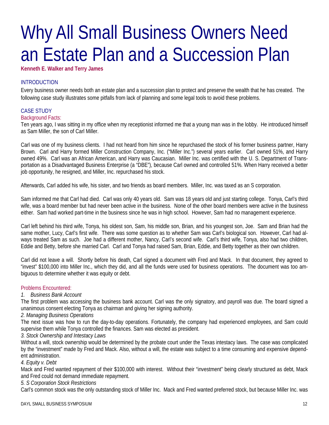## Why All Small Business Owners Need an Estate Plan and a Succession Plan

**Kenneth E. Walker and Terry James** 

#### INTRODUCTION

Every business owner needs both an estate plan and a succession plan to protect and preserve the wealth that he has created. The following case study illustrates some pitfalls from lack of planning and some legal tools to avoid these problems.

#### CASE STUDY

#### Background Facts:

Ten years ago, I was sitting in my office when my receptionist informed me that a young man was in the lobby. He introduced himself as Sam Miller, the son of Carl Miller.

Carl was one of my business clients. I had not heard from him since he repurchased the stock of his former business partner, Harry Brown. Carl and Harry formed Miller Construction Company, Inc. ("Miller Inc.") several years earlier. Carl owned 51%, and Harry owned 49%. Carl was an African American, and Harry was Caucasian. Miller Inc. was certified with the U. S. Department of Transportation as a Disadvantaged Business Enterprise (a "DBE"), because Carl owned and controlled 51%. When Harry received a better job opportunity, he resigned, and Miller, Inc. repurchased his stock.

Afterwards, Carl added his wife, his sister, and two friends as board members. Miller, Inc. was taxed as an S corporation.

Sam informed me that Carl had died. Carl was only 40 years old. Sam was 18 years old and just starting college. Tonya, Carl's third wife, was a board member but had never been active in the business. None of the other board members were active in the business either. Sam had worked part-time in the business since he was in high school. However, Sam had no management experience.

Carl left behind his third wife, Tonya, his oldest son, Sam, his middle son, Brian, and his youngest son, Joe. Sam and Brian had the same mother, Lucy, Carl's first wife. There was some question as to whether Sam was Carl's biological son. However, Carl had always treated Sam as such. Joe had a different mother, Nancy, Carl's second wife. Carl's third wife, Tonya, also had two children, Eddie and Betty, before she married Carl. Carl and Tonya had raised Sam, Brian, Eddie, and Betty together as their own children.

Carl did not leave a will. Shortly before his death, Carl signed a document with Fred and Mack. In that document, they agreed to "invest" \$100,000 into Miller Inc., which they did, and all the funds were used for business operations. The document was too ambiguous to determine whether it was equity or debt.

#### Problems Encountered:

#### *1. Business Bank Account*

The first problem was accessing the business bank account. Carl was the only signatory, and payroll was due. The board signed a unanimous consent electing Tonya as chairman and giving her signing authority.

#### *2. Managing Business Operations*

The next issue was how to run the day-to-day operations. Fortunately, the company had experienced employees, and Sam could supervise them while Tonya controlled the finances. Sam was elected as president.

#### *3. Stock Ownership and Intestacy Laws*

Without a will, stock ownership would be determined by the probate court under the Texas intestacy laws. The case was complicated by the "investment" made by Fred and Mack. Also, without a will, the estate was subject to a time consuming and expensive dependent administration.

#### *4. Equity v. Debt*

Mack and Fred wanted repayment of their \$100,000 with interest. Without their "investment" being clearly structured as debt, Mack and Fred could not demand immediate repayment.

#### *5. S Corporation Stock Restrictions*

Carl's common stock was the only outstanding stock of Miller Inc. Mack and Fred wanted preferred stock, but because Miller Inc. was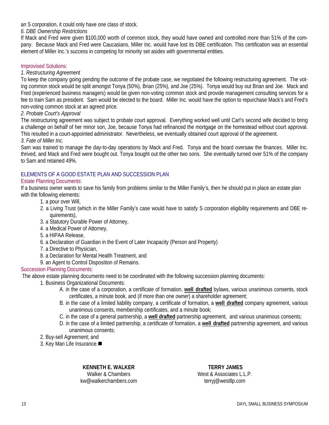an S corporation, it could only have one class of stock.

#### *6. DBE Ownership Restrictions*

If Mack and Fred were given \$100,000 worth of common stock, they would have owned and controlled more than 51% of the company. Because Mack and Fred were Caucasians, Miller Inc. would have lost its DBE certification. This certification was an essential element of Miller Inc.'s success in competing for minority set asides with governmental entities.

#### Improvised Solutions:

#### *1. Restructuring Agreement*

To keep the company going pending the outcome of the probate case, we negotiated the following restructuring agreement. The voting common stock would be split amongst Tonya (50%), Brian (25%), and Joe (25%). Tonya would buy out Brian and Joe. Mack and Fred (experienced business managers) would be given non-voting common stock and provide management consulting services for a fee to train Sam as president. Sam would be elected to the board. Miller Inc. would have the option to repurchase Mack's and Fred's non-voting common stock at an agreed price.

#### *2. Probate Court's Approval*

The restructuring agreement was subject to probate court approval. Everything worked well until Carl's second wife decided to bring a challenge on behalf of her minor son, Joe, because Tonya had refinanced the mortgage on the homestead without court approval. This resulted in a court-appointed administrator. Nevertheless, we eventually obtained court approval of the agreement.

#### *3. Fate of Miller Inc.*

Sam was trained to manage the day-to-day operations by Mack and Fred. Tonya and the board oversaw the finances. Miller Inc. thrived, and Mack and Fred were bought out. Tonya bought out the other two sons. She eventually turned over 51% of the company to Sam and retained 49%.

#### ELEMENTS OF A GOOD ESTATE PLAN AND SUCCESSION PLAN

#### Estate Planning Documents:

If a business owner wants to save his family from problems similar to the Miller Family's, then he should put in place an estate plan with the following elements:

- 1. a pour over Will,
- 2. a Living Trust (which in the Miller Family's case would have to satisfy S corporation eligibility requirements and DBE requirements),
- 3. a Statutory Durable Power of Attorney,
- 4. a Medical Power of Attorney,
- 5. a HIPAA Release,
- 6. a Declaration of Guardian in the Event of Later Incapacity (Person and Property)
- 7. a Directive to Physician,
- 8. a Declaration for Mental Health Treatment, and
- 9. an Agent to Control Disposition of Remains.

#### Succession Planning Documents:

The above estate planning documents need to be coordinated with the following succession planning documents:

- 1. Business Organizational Documents:
	- A. in the case of a corporation, a certificate of formation, **well drafted** bylaws, various unanimous consents, stock certificates, a minute book, and (if more than one owner) a shareholder agreement;
	- B. in the case of a limited liability company, a certificate of formation, a **well drafted** company agreement, various unanimous consents, membership certificates, and a minute book;
	- C. in the case of a general partnership, a **well drafted** partnership agreement, and various unanimous consents;
	- D. in the case of a limited partnership, a certificate of formation, a **well drafted** partnership agreement, and various unanimous consents;
- 2. Buy-sell Agreement; and
- 3. Key Man Life Insurance.

**KENNETH E. WALKER** 

Walker & Chambers kw@walkerchambers.com

**TERRY JAMES**  West & Associates L.L.P. terryj@westllp.com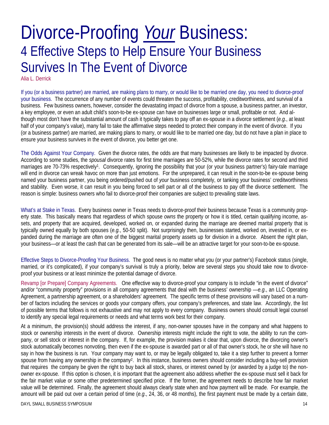### Divorce-Proofing *Your* Business: 4 Effective Steps to Help Ensure Your Business Survives In The Event of Divorce

Alia L. Derrick

If you (or a business partner) are married, are making plans to marry, or would like to be married one day, you need to divorce-proof your business. The occurrence of any number of events could threaten the success, profitability, creditworthiness, and survival of a business. Few business owners, however, consider the devastating impact of divorce from a spouse, a business partner, an investor, a key employee, or even an adult child's soon-to-be ex-spouse can have on businesses large or small, profitable or not. And although most don't have the substantial amount of cash it typically takes to pay off an ex-spouse in a divorce settlement (*e.g*., at least half of your company's value), many fail to take the affirmative steps needed to protect their company in the event of divorce. If you (or a business partner) are married, are making plans to marry, or would like to be married one day, but do not have a plan in place to ensure your business survives in the event of divorce, you better get one.

The Odds Against Your Company. Given the divorce rates, the odds are that many businesses are likely to be impacted by divorce. According to some studies, the *spousal* divorce rates for first time marriages are 50-52%, while the divorce rates for second and third marriages are 70-73% respectively1. Consequently, ignoring the possibility that your (or your business partner's) fairy-tale marriage will end in divorce can wreak havoc on more than just emotions. For the unprepared, it can result in the soon-to-be ex-spouse being named your business partner, you being ordered/pushed out of *your* business completely, or tanking your business' creditworthiness and stability. Even worse, it can result in you being forced to sell part or all of the business to pay off the divorce settlement. The reason is simple: business owners who fail to divorce-proof their companies are subject to prevailing state laws.

What's at Stake in Texas. Every business owner in Texas needs to divorce-proof their business because Texas is a community property state. This basically means that regardless of which spouse *owns* the property or how it is titled, certain qualifying income, assets, and property that are acquired, developed, worked on, or expanded during the marriage are deemed marital property that is typically owned equally by both spouses (*e.g.*, 50-50 split). Not surprisingly then, businesses started, worked on, invested in, or expanded during the marriage are often one of the biggest marital property assets up for division in a divorce. Absent the right plan, your business—or at least the cash that can be generated from its sale—will be an attractive target for your soon-to-be ex-spouse.

Effective Steps to Divorce-Proofing Your Business. The good news is no matter what you (or your partner's) Facebook status (single, married, or it's complicated), if your company's survival is truly a priority, below are several steps you should take now to divorceproof your business or at least minimize the potential damage of divorce.

Revamp [or Prepare] Company Agreements. One effective way to divorce-proof your company is to include "in the event of divorce" and/or "community property" provisions in all company agreements that deal with the business' ownership —*e.g*., an LLC Operating Agreement, a partnership agreement, or a shareholders' agreement. The specific terms of these provisions will vary based on a number of factors including the services or goods your company offers, your company's preferences, and state law. Accordingly, the list of possible terms that follows is not exhaustive and may not apply to every company. Business owners should consult legal counsel to identify any special legal requirements or needs and what terms work best for their company.

At a minimum, the provision(s) should address the interest, if any, non-owner spouses have in the company and what happens to stock or ownership interests in the event of divorce. Ownership interests might include the right to vote, the ability to run the company, or sell stock or interest in the company. If, for example, the provision makes it clear that, upon divorce, the divorcing owner's stock automatically becomes nonvoting, then even if the ex-spouse is awarded part or all of that owner's stock, he or she will have no say in how the business is run. Your company may want to, or may be legally obligated to, take it a step further to prevent a former spouse from having any ownership in the company<sup>2</sup>. In this instance, business owners should consider including a buy-sell provision that requires the company be given the right to buy back all stock, shares, or interest owned by (or awarded by a judge to) the nonowner ex-spouse. If this option is chosen, it is important that the agreement also address whether the ex-spouse must sell it back for the fair market value or some other predetermined specified price. If the former, the agreement needs to describe how fair market value will be determined. Finally, the agreement should always clearly state when and how payment will be made. For example, the amount will be paid out over a certain period of time (*e.g*., 24, 36, or 48 months), the first payment must be made by a certain date,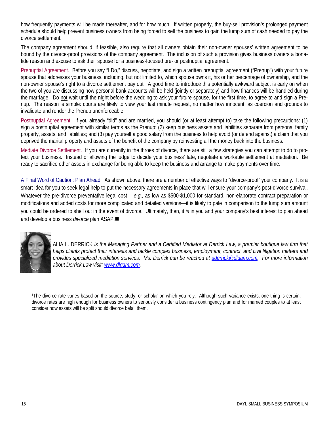how frequently payments will be made thereafter, and for how much. If written properly, the buy-sell provision's prolonged payment schedule should help prevent business owners from being forced to sell the business to gain the lump sum of cash needed to pay the divorce settlement.

The company agreement should, if feasible, also require that all owners obtain their non-owner spouses' written agreement to be bound by the divorce-proof provisions of the company agreement. The inclusion of such a provision gives business owners a bonafide reason and excuse to ask their spouse for a business-focused pre- or postnuptial agreement.

Prenuptial Agreement. Before you say "I Do," discuss, negotiate, and sign a written prenuptial agreement ("Prenup") with your future spouse that addresses your business, including, but not limited to, which spouse owns it, his or her percentage of ownership, and the non-owner spouse's right to a divorce settlement pay out. A good time to introduce this potentially awkward subject is early on when the two of you are discussing how personal bank accounts will be held (jointly or separately) and how finances will be handled during the marriage. Do not wait until the night before the wedding to ask your future spouse, for the first time, to agree to and sign a Prenup. The reason is simple: courts are likely to view your last minute request, no matter how innocent, as coercion and grounds to invalidate and render the Prenup unenforceable.

Postnuptial Agreement. If you already "did" and are married, you should (or at least attempt to) take the following precautions: (1) sign a postnuptial agreement with similar terms as the Prenup; (2) keep business assets and liabilities separate from personal family property, assets, and liabilities; and (3) pay yourself a good salary from the business to help avoid (or defend against) a claim that you deprived the marital property and assets of the benefit of the company by reinvesting all the money back into the business.

Mediate Divorce Settlement. If you are currently in the throes of divorce, there are still a few strategies you can attempt to do to protect your business. Instead of allowing the judge to decide your business' fate, negotiate a workable settlement at mediation. Be ready to sacrifice other assets in exchange for being able to keep the business and arrange to make payments over time.

A Final Word of Caution: Plan Ahead. As shown above, there are a number of effective ways to "divorce-proof" your company. It is a smart idea for you to seek legal help to put the necessary agreements in place that will ensure your company's post-divorce survival. Whatever the pre-divorce preventative legal cost —*e.g*., as low as \$500-\$1,000 for standard, non-elaborate contract preparation or modifications and added costs for more complicated and detailed versions—it is likely to pale in comparison to the lump sum amount you could be ordered to shell out in the event of divorce. Ultimately, then, it *is* in you and your company's best interest to plan ahead and develop a business *divorce* plan ASAP.



ALIA L. DERRICK *is the Managing Partner and a Certified Mediator at Derrick Law, a premier boutique law firm that helps clients protect their interests and tackle complex business, employment, contract, and civil litigation matters and provides specialized mediation services. Ms. Derrick can be reached at aderrick@dlgam.com. For more information about Derrick Law visit: www.dlgam.com.*

1The divorce rate varies based on the source, study, or scholar on which you rely. Although such variance exists, one thing is certain: divorce rates are high enough for business owners to seriously consider a business contingency plan and for married couples to at least consider how assets will be split should divorce befall them.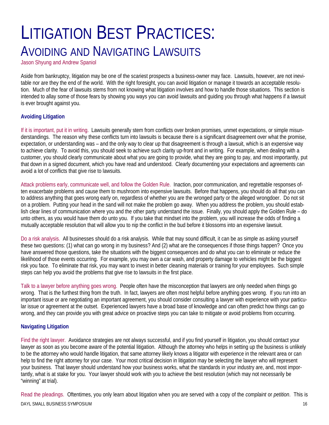### LITIGATION BEST PRACTICES: AVOIDING AND NAVIGATING LAWSUITS

Jason Shyung and Andrew Spaniol

Aside from bankruptcy, litigation may be one of the scariest prospects a business-owner may face. Lawsuits, however, are not inevitable nor are they the end of the world. With the right foresight, you can avoid litigation or manage it towards an acceptable resolution. Much of the fear of lawsuits stems from not knowing what litigation involves and how to handle those situations. This section is intended to allay some of those fears by showing you ways you can avoid lawsuits and guiding you through what happens if a lawsuit is ever brought against you.

#### **Avoiding Litigation**

If it is important, put it in writing. Lawsuits generally stem from conflicts over broken promises, unmet expectations, or simple misunderstandings. The reason why these conflicts turn into lawsuits is because there is a significant disagreement over what the promise, expectation, or understanding was – and the only way to clear up that disagreement is through a lawsuit, which is an expensive way to achieve clarity. To avoid this, you should seek to achieve such clarity up-front and in writing. For example, when dealing with a customer, you should clearly communicate about what you are going to provide, what they are going to pay, and most importantly, put that down in a signed document, which you have read and understood. Clearly documenting your expectations and agreements can avoid a lot of conflicts that give rise to lawsuits.

Attack problems early, communicate well, and follow the Golden Rule. Inaction, poor communication, and regrettable responses often exacerbate problems and cause them to mushroom into expensive lawsuits. Before that happens, you should do all that you can to address anything that goes wrong early on, regardless of whether you are the wronged party or the alleged wrongdoer. Do not sit on a problem. Putting your head in the sand will not make the problem go away. When you address the problem, you should establish clear lines of communication where you and the other party understand the issue. Finally, you should apply the Golden Rule – do unto others, as you would have them do unto you. If you take that mindset into the problem, you will increase the odds of finding a mutually acceptable resolution that will allow you to nip the conflict in the bud before it blossoms into an expensive lawsuit.

Do a risk analysis. All businesses should do a risk analysis. While that may sound difficult, it can be as simple as asking yourself these two questions: (1) what can go wrong in my business? And (2) what are the consequences if those things happen? Once you have answered those questions, take the situations with the biggest consequences and do what you can to eliminate or reduce the likelihood of those events occurring. For example, you may own a car wash, and property damage to vehicles might be the biggest risk you face. To eliminate that risk, you may want to invest in better cleaning materials or training for your employees. Such simple steps can help you avoid the problems that give rise to lawsuits in the first place.

Talk to a lawyer before anything goes wrong. People often have the misconception that lawyers are only needed when things go wrong. That is the furthest thing from the truth. In fact, lawyers are often most helpful before anything goes wrong. If you run into an important issue or are negotiating an important agreement, you should consider consulting a lawyer with experience with your particular issue or agreement at the outset. Experienced lawyers have a broad base of knowledge and can often predict how things can go wrong, and they can provide you with great advice on proactive steps you can take to mitigate or avoid problems from occurring.

### **Navigating Litigation**

Find the right lawyer. Avoidance strategies are not always successful, and if you find yourself in litigation, you should contact your lawyer as soon as you become aware of the potential litigation. Although the attorney who helps in setting up the business is unlikely to be the attorney who would handle litigation, that same attorney likely knows a litigator with experience in the relevant area or can help to find the right attorney for your case. Your most critical decision in litigation may be selecting the lawyer who will represent your business. That lawyer should understand how your business works, what the standards in your industry are, and, most importantly, what is at stake for you. Your lawyer should work with you to achieve the best resolution (which may not necessarily be "winning" at trial).

DAYL SMALL BUSINESS SYMPOSIUM 16 Read the pleadings. Oftentimes, you only learn about litigation when you are served with a copy of the *complaint* or *petition*. This is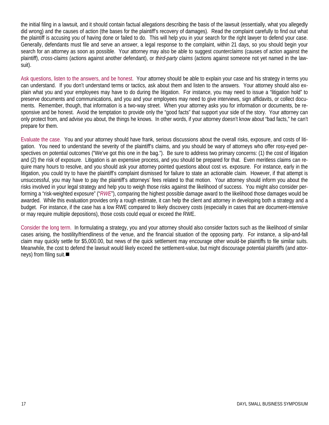the initial filing in a lawsuit, and it should contain factual allegations describing the basis of the lawsuit (essentially, what you allegedly did wrong) and the causes of action (the bases for the plaintiff's recovery of damages). Read the complaint carefully to find out what the plaintiff is accusing you of having done or failed to do. This will help you in your search for the right lawyer to defend your case. Generally, defendants must file and serve an *answer*, a legal response to the complaint, within 21 days, so you should begin your search for an attorney as soon as possible. Your attorney may also be able to suggest *counterclaims* (causes of action against the plaintiff), *cross-claims* (actions against another defendant), or *third-party claims* (actions against someone not yet named in the lawsuit).

Ask questions, listen to the answers, and be honest. Your attorney should be able to explain your case and his strategy in terms you can understand. If you don't understand terms or tactics, ask about them and listen to the answers. Your attorney should also explain what you and your employees may have to do during the litigation. For instance, you may need to issue a "litigation hold" to preserve documents and communications, and you and your employees may need to give interviews, sign affidavits, or collect documents. Remember, though, that information is a two-way street. When your attorney asks you for information or documents, be responsive and be honest. Avoid the temptation to provide only the "good facts" that support your side of the story. Your attorney can only protect from, and advise you about, the things he knows. In other words, if your attorney doesn't know about "bad facts," he can't prepare for them.

Evaluate the case. You and your attorney should have frank, serious discussions about the overall risks, exposure, and costs of litigation. You need to understand the severity of the plaintiff's claims, and you should be wary of attorneys who offer rosy-eyed perspectives on potential outcomes ("We've got this one in the bag."). Be sure to address two primary concerns: (1) the cost of litigation and (2) the risk of exposure. Litigation is an expensive process, and you should be prepared for that. Even meritless claims can require many hours to resolve, and you should ask your attorney pointed questions about cost vs. exposure. For instance, early in the litigation, you could try to have the plaintiff's complaint dismissed for failure to state an actionable claim. However, if that attempt is unsuccessful, you may have to pay the plaintiff's attorneys' fees related to that motion. Your attorney should inform you about the risks involved in your legal strategy and help you to weigh those risks against the likelihood of success. You might also consider performing a "risk-weighted exposure" ("*RWE*"), comparing the highest possible damage award to the likelihood those damages would be awarded. While this evaluation provides only a rough estimate, it can help the client and attorney in developing both a strategy and a budget. For instance, if the case has a low RWE compared to likely discovery costs (especially in cases that are document-intensive or may require multiple depositions), those costs could equal or exceed the RWE.

Consider the long term. In formulating a strategy, you and your attorney should also consider factors such as the likelihood of similar cases arising, the hostility/friendliness of the venue, and the financial situation of the opposing party. For instance, a slip-and-fall claim may quickly settle for \$5,000.00, but news of the quick settlement may encourage other would-be plaintiffs to file similar suits. Meanwhile, the cost to defend the lawsuit would likely exceed the settlement-value, but might discourage potential plaintiffs (and attorneys) from filing suit.■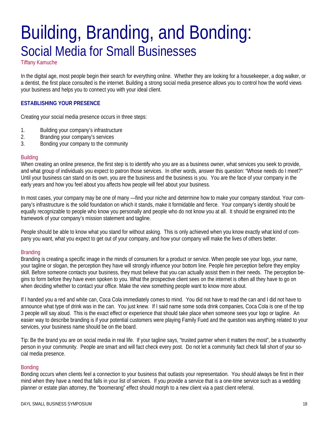### Building, Branding, and Bonding: Social Media for Small Businesses

Tiffany Kamuche

In the digital age, most people begin their search for everything online. Whether they are looking for a housekeeper, a dog walker, or a dentist, the first place consulted is the internet. Building a strong social media presence allows you to control how the world views your business and helps you to connect you with your ideal client.

#### **ESTABLISHING YOUR PRESENCE**

Creating your social media presence occurs in three steps:

- 1. Building your company's infrastructure
- 2. Branding your company's services
- 3. Bonding your company to the community

#### **Building**

When creating an online presence, the first step is to identify who you are as a business owner, what services you seek to provide, and what group of individuals you expect to patron those services. In other words, answer this question: "Whose needs do I meet?" Until your business can stand on its own, you are the business and the business is you. You are the face of your company in the early years and how you feel about you affects how people will feel about your business.

In most cases, your company may be one of many —find your niche and determine how to make your company standout. Your company's infrastructure is the solid foundation on which it stands, make it formidable and fierce. Your company's identity should be equally recognizable to people who know you personally and people who do not know you at all. It should be engrained into the framework of your company's mission statement and tagline.

People should be able to know what you stand for without asking. This is only achieved when you know exactly what kind of company you want, what you expect to get out of your company, and how your company will make the lives of others better.

#### **Branding**

Branding is creating a specific image in the minds of consumers for a product or service. When people see your logo, your name, your tagline or slogan, the perception they have will strongly influence your bottom line. People hire perception before they employ skill. Before someone contacts your business, they must believe that you can actually assist them in their needs. The perception begins to form before they have even spoken to you. What the prospective client sees on the internet is often all they have to go on when deciding whether to contact your office. Make the view something people want to know more about.

If I handed you a red and white can, Coca Cola immediately comes to mind. You did not have to read the can and I did not have to announce what type of drink was in the can. You just knew. If I said name some soda drink companies, Coca Cola is one of the top 3 people will say aloud. This is the exact effect or experience that should take place when someone sees your logo or tagline. An easier way to describe branding is if your potential customers were playing Family Fued and the question was anything related to your services, your business name should be on the board.

Tip: Be the brand you are on social media in real life. If your tagline says, "trusted partner when it matters the most", be a trustworthy person in your community. People are smart and will fact check every post. Do not let a community fact check fall short of your social media presence.

#### Bonding

Bonding occurs when clients feel a connection to your business that outlasts your representation. You should always be first in their mind when they have a need that falls in your list of services. If you provide a service that is a one-time service such as a wedding planner or estate plan attorney, the "boomerang" effect should morph to a new client via a past client referral.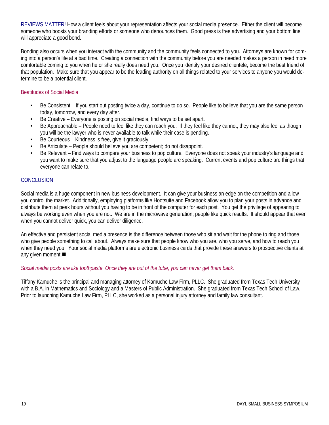REVIEWS MATTER! How a client feels about your representation affects your social media presence. Either the client will become someone who boosts your branding efforts or someone who denounces them. Good press is free advertising and your bottom line will appreciate a good bond.

Bonding also occurs when you interact with the community and the community feels connected to you. Attorneys are known for coming into a person's life at a bad time. Creating a connection with the community before you are needed makes a person in need more comfortable coming to you when he or she really does need you. Once you identify your desired clientele, become the best friend of that population. Make sure that you appear to be the leading authority on all things related to your services to anyone you would determine to be a potential client.

#### Beatitudes of Social Media

- Be Consistent If you start out posting twice a day, continue to do so. People like to believe that you are the same person today, tomorrow, and every day after.
- Be Creative Everyone is posting on social media, find ways to be set apart.
- Be Approachable People need to feel like they can reach you. If they feel like they cannot, they may also feel as though you will be the lawyer who is never available to talk while their case is pending.
- Be Courteous Kindness is free, give it graciously.
- Be Articulate People should believe you are competent; do not disappoint.
- Be Relevant Find ways to compare your business to pop culture. Everyone does not speak your industry's language and you want to make sure that you adjust to the language people are speaking. Current events and pop culture are things that everyone can relate to.

#### **CONCLUSION**

Social media is a huge component in new business development. It can give your business an edge on the competition and allow you control the market. Additionally, employing platforms like Hootsuite and Facebook allow you to plan your posts in advance and distribute them at peak hours without you having to be in front of the computer for each post. You get the privilege of appearing to always be working even when you are not. We are in the microwave generation; people like quick results. It should appear that even when you cannot deliver quick, you can deliver diligence.

An effective and persistent social media presence is the difference between those who sit and wait for the phone to ring and those who give people something to call about. Always make sure that people know who you are, who you serve, and how to reach you when they need you. Your social media platforms are electronic business cards that provide these answers to prospective clients at any given moment.

#### *Social media posts are like toothpaste. Once they are out of the tube, you can never get them back.*

Tiffany Kamuche is the principal and managing attorney of Kamuche Law Firm, PLLC. She graduated from Texas Tech University with a B.A. in Mathematics and Sociology and a Masters of Public Administration. She graduated from Texas Tech School of Law. Prior to launching Kamuche Law Firm, PLLC, she worked as a personal injury attorney and family law consultant.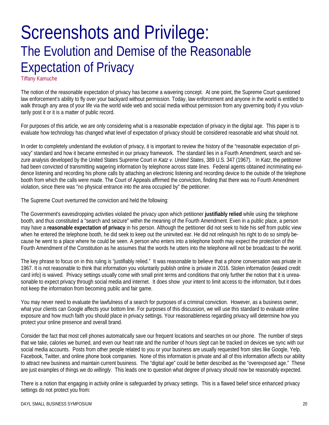### Screenshots and Privilege: The Evolution and Demise of the Reasonable Expectation of Privacy

Tiffany Kamuche

The notion of the reasonable expectation of privacy has become a wavering concept. At one point, the Supreme Court questioned law enforcement's ability to fly over your backyard without permission. Today, law enforcement and anyone in the world is entitled to walk through any area of your life via the world wide web and social media without permission from any governing body if you voluntarily post it or it is a matter of public record.

For purposes of this article, we are only considering what is a reasonable expectation of privacy in the digital age. This paper is to evaluate how technology has changed what level of expectation of privacy should be considered reasonable and what should not.

In order to completely understand the evolution of privacy, it is important to review the history of the "reasonable expectation of privacy" standard and how it became enmeshed in our privacy framework. The standard lies in a Fourth Amendment, search and seizure analysis developed by the United States Supreme Court in *Katz v. United States*, 389 U.S. 347 (1967). In *Katz*, the petitioner had been convicted of transmitting wagering information by telephone across state lines. Federal agents obtained incriminating evidence listening and recording his phone calls by attaching an electronic listening and recording device to the outside of the telephone booth from which the calls were made. The Court of Appeals affirmed the conviction, finding that there was no Fourth Amendment violation, since there was "no physical entrance into the area occupied by" the petitioner.

The Supreme Court overturned the conviction and held the following:

The Government's eavesdropping activities violated the privacy upon which petitioner **justifiably relied** while using the telephone booth, and thus constituted a "search and seizure" within the meaning of the Fourth Amendment. Even in a public place, a person may have a **reasonable expectation of privacy** in his person. Although the petitioner did not seek to hide his self from public view when he entered the telephone booth, he did seek to keep out the uninvited ear. He did not relinquish his right to do so simply because he went to a place where he could be seen. A person who enters into a telephone booth may expect the protection of the Fourth Amendment of the Constitution as he assumes that the words he utters into the telephone will not be broadcast to the world.

The key phrase to focus on in this ruling is "justifiably relied." It was reasonable to believe that a phone conversation was private in 1967. It is not reasonable to think that information you voluntarily publish online is private in 2016. Stolen information (leaked credit card info) is waived. Privacy settings usually come with small print terms and conditions that only further the notion that it is unreasonable to expect privacy through social media and internet. It does show your intent to limit access to the information, but it does not keep the information from becoming public and fair game.

You may never need to evaluate the lawfulness of a search for purposes of a criminal conviction. However, as a business owner, what your clients can Google affects your bottom line. For purposes of this discussion, we will use this standard to evaluate online exposure and how much faith you should place in privacy settings. Your reasonableness regarding privacy will determine how you protect your online presence and overall brand.

Consider the fact that most cell phones automatically save our frequent locations and searches on our phone. The number of steps that we take, calories we burned, and even our heart rate and the number of hours slept can be tracked on devices we sync with our social media accounts. Posts from other people related to you or your business are usually requested from sites like Google, Yelp, Facebook, Twitter, and online phone book companies. None of this information is private and all of this information affects our ability to attract new business and maintain current business. The "digital age" could be better described as the "overexposed age." These are just examples of things we do *willingly*. This leads one to question what degree of privacy should now be reasonably expected.

There is a notion that engaging in activity online is safeguarded by privacy settings. This is a flawed belief since enhanced privacy settings do not protect you from: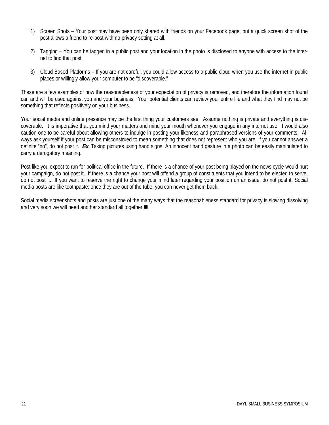- 1) Screen Shots Your post may have been only shared with friends on your Facebook page, but a quick screen shot of the post allows a friend to re-post with no privacy setting at all.
- 2) Tagging You can be tagged in a public post and your location in the photo is disclosed to anyone with access to the internet to find that post.
- 3) Cloud Based Platforms If you are not careful, you could allow access to a public cloud when you use the internet in public places or willingly allow your computer to be "discoverable."

These are a few examples of how the reasonableness of your expectation of privacy is removed, and therefore the information found can and will be used against you and your business. Your potential clients can review your entire life and what they find may not be something that reflects positively on your business.

Your social media and online presence may be the first thing your customers see. Assume nothing is private and everything is discoverable. It is imperative that you mind your matters and mind your mouth whenever you engage in any internet use. I would also caution one to be careful about allowing others to indulge in posting your likeness and paraphrased versions of your comments. Always ask yourself if your post can be misconstrued to mean something that does not represent who you are. If you cannot answer a definite "no", do not post it. *Ex*. Taking pictures using hand signs. An innocent hand gesture in a photo can be easily manipulated to carry a derogatory meaning.

Post like you expect to run for political office in the future. If there is a chance of your post being played on the news cycle would hurt your campaign, do not post it. If there is a chance your post will offend a group of constituents that you intend to be elected to serve, do not post it. If you want to reserve the right to change your mind later regarding your position on an issue, do not post it. Social media posts are like toothpaste: once they are out of the tube, you can never get them back.

Social media screenshots and posts are just one of the many ways that the reasonableness standard for privacy is slowing dissolving and very soon we will need another standard all together.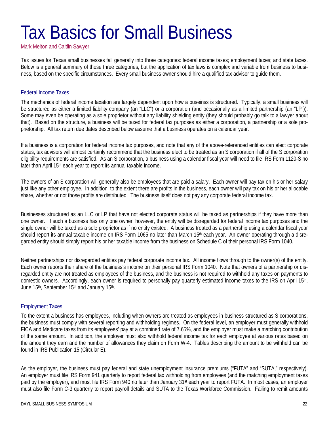## Tax Basics for Small Business

Mark Melton and Caitlin Sawyer

Tax issues for Texas small businesses fall generally into three categories: federal income taxes; employment taxes; and state taxes. Below is a general summary of those three categories, but the application of tax laws is complex and variable from business to business, based on the specific circumstances. Every small business owner should hire a qualified tax advisor to guide them.

#### Federal Income Taxes

The mechanics of federal income taxation are largely dependent upon how a buseinss is structured. Typically, a small business will be structured as either a limited liability company (an "LLC") or a corporation (and occasionally as a limited partnership (an "LP")). Some may even be operating as a sole proprietor without any liability shielding entity (they should probably go talk to a lawyer about that). Based on the structure, a business will be taxed for federal tax purposes as either a corporation, a partnership or a sole proprietorship. All tax return due dates described below assume that a business operates on a calendar year.

If a business is a corporation for federal income tax purposes, and note that any of the above-referenced entities can elect corporate status, tax advisors will almost certainly recommend that the business elect to be treated as an S corporation if all of the S corporation eligibility requirements are satisfied. As an S corporation, a business using a calendar fiscal year will need to file IRS Form 1120-S no later than April 15<sup>th</sup> each year to report its annual taxable income.

The owners of an S corporation will generally also be employees that are paid a salary. Each owner will pay tax on his or her salary just like any other employee. In addition, to the extent there are profits in the business, each owner will pay tax on his or her allocable share, whether or not those profits are distributed. The business itself does not pay any corporate federal income tax.

Businesses structured as an LLC or LP that have not elected corporate status will be taxed as partnerships if they have more than one owner. If such a business has only one owner, however, the entity will be disregarded for federal income tax purposes and the single owner will be taxed as a sole proprietor as if no entity existed. A business treated as a partnership using a calendar fiscal year should report its annual taxable income on IRS Form 1065 no later than March 15<sup>th</sup> each year. An owner operating through a disregarded entity should simply report his or her taxable income from the business on Schedule C of their personal IRS Form 1040.

Neither partnerships nor disregarded entities pay federal corporate income tax. All income flows through to the owner(s) of the entity. Each owner reports their share of the business's income on their personal IRS Form 1040. Note that owners of a partnership or disregarded entity are not treated as employees of the business, and the business is not required to withhold any taxes on payments to domestic owners. Accordingly, each owner is required to personally pay quarterly estimated income taxes to the IRS on April 15<sup>th</sup>, June 15<sup>th</sup>, September 15<sup>th</sup> and January 15<sup>th</sup>.

#### Employment Taxes

To the extent a business has employees, including when owners are treated as employees in business structured as S corporations, the business must comply with several reporting and withholding regimes. On the federal level, an employer must generally withhold FICA and Medicare taxes from its employees' pay at a combined rate of 7.65%, and the employer must make a matching contribution of the same amount. In addition, the employer must also withhold federal income tax for each employee at various rates based on the amount they earn and the number of allowances they claim on Form W-4. Tables describing the amount to be withheld can be found in IRS Publication 15 (Circular E).

As the employer, the business must pay federal and state unemployment insurance premiums ("FUTA" and "SUTA," respectively). An employer must file IRS Form 941 quarterly to report federal tax withholding from employees (and the matching employment taxes paid by the employer), and must file IRS Form 940 no later than January 31st each year to report FUTA. In most cases, an employer must also file Form C-3 quarterly to report payroll details and SUTA to the Texas Workforce Commission. Failing to remit amounts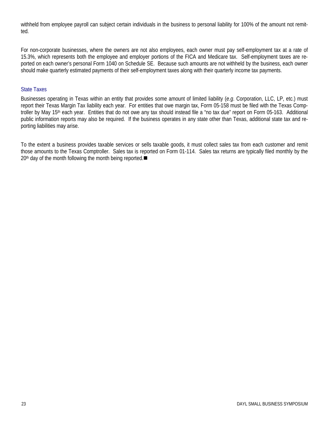withheld from employee payroll can subject certain individuals in the business to personal liability for 100% of the amount not remitted.

For non-corporate businesses, where the owners are not also employees, each owner must pay self-employment tax at a rate of 15.3%, which represents both the employee and employer portions of the FICA and Medicare tax. Self-employment taxes are reported on each owner's personal Form 1040 on Schedule SE. Because such amounts are not withheld by the business, each owner should make quarterly estimated payments of their self-employment taxes along with their quarterly income tax payments.

#### State Taxes

Businesses operating in Texas within an entity that provides some amount of limited liability (*e.g*. Corporation, LLC, LP, etc.) must report their Texas Margin Tax liability each year. For entities that owe margin tax, Form 05-158 must be filed with the Texas Comptroller by May 15th each year. Entities that do not owe any tax should instead file a "no tax due" report on Form 05-163. Additional public information reports may also be required. If the business operates in any state other than Texas, additional state tax and reporting liabilities may arise.

To the extent a business provides taxable services or sells taxable goods, it must collect sales tax from each customer and remit those amounts to the Texas Comptroller. Sales tax is reported on Form 01-114. Sales tax returns are typically filed monthly by the  $20<sup>th</sup>$  day of the month following the month being reported.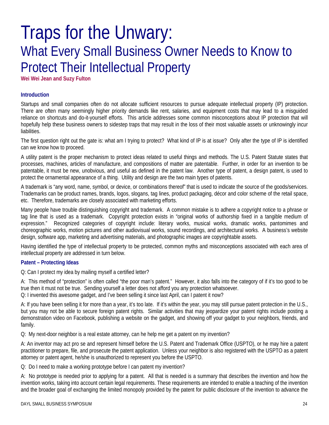### Traps for the Unwary: What Every Small Business Owner Needs to Know to Protect Their Intellectual Property

**Wei Wei Jean and Suzy Fulton** 

#### **Introduction**

Startups and small companies often do not allocate sufficient resources to pursue adequate intellectual property (IP) protection. There are often many seemingly higher priority demands like rent, salaries, and equipment costs that may lead to a misguided reliance on shortcuts and do-it-yourself efforts. This article addresses some common misconceptions about IP protection that will hopefully help these business owners to sidestep traps that may result in the loss of their most valuable assets or unknowingly incur liabilities.

The first question right out the gate is: what am I trying to protect? What kind of IP is at issue? Only after the type of IP is identified can we know how to proceed.

A utility patent is the proper mechanism to protect ideas related to useful things and methods. The U.S. Patent Statute states that processes, machines, articles of manufacture, and compositions of matter are patentable. Further, in order for an invention to be patentable, it must be new, unobvious, and useful as defined in the patent law. Another type of patent, a design patent, is used to protect the ornamental appearance of a thing. Utility and design are the two main types of patents.

A trademark is "any word, name, symbol, or device, or combinations thereof" that is used to indicate the source of the goods/services. Trademarks can be product names, brands, logos, slogans, tag lines, product packaging, décor and color scheme of the retail space, etc. Therefore, trademarks are closely associated with marketing efforts.

Many people have trouble distinguishing copyright and trademark. A common mistake is to adhere a copyright notice to a phrase or tag line that is used as a trademark. Copyright protection exists in "original works of authorship fixed in a tangible medium of expression." Recognized categories of copyright include: literary works, musical works, dramatic works, pantomimes and choreographic works, motion pictures and other audiovisual works, sound recordings, and architectural works. A business's website design, software app, marketing and advertising materials, and photographic images are copyrightable assets.

Having identified the type of intellectual property to be protected, common myths and misconceptions associated with each area of intellectual property are addressed in turn below.

#### **Patent – Protecting Ideas**

Q: Can I protect my idea by mailing myself a certified letter?

A: This method of "protection" is often called "the poor man's patent." However, it also falls into the category of if it's too good to be true then it must not be true. Sending yourself a letter does not afford you any protection whatsoever.

Q: I invented this awesome gadget, and I've been selling it since last April, can I patent it now?

A: If you have been selling it for more than a year, it's too late. If it's within the year, you may still pursue patent protection in the U.S., but you may not be able to secure foreign patent rights. Similar activities that may jeopardize your patent rights include posting a demonstration video on Facebook, publishing a website on the gadget, and showing off your gadget to your neighbors, friends, and family.

Q: My next-door neighbor is a real estate attorney, can he help me get a patent on my invention?

A: An inventor may act pro se and represent himself before the U.S. Patent and Trademark Office (USPTO), or he may hire a patent practitioner to prepare, file, and prosecute the patent application. Unless your neighbor is also registered with the USPTO as a patent attorney or patent agent, he/she is unauthorized to represent you before the USPTO.

Q: Do I need to make a working prototype before I can patent my invention?

A: No prototype is needed prior to applying for a patent. All that is needed is a summary that describes the invention and how the invention works, taking into account certain legal requirements. These requirements are intended to enable a teaching of the invention and the broader goal of exchanging the limited monopoly provided by the patent for public disclosure of the invention to advance the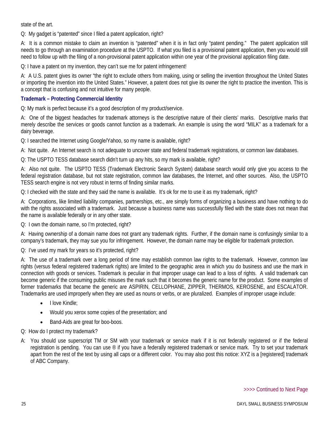state of the art.

Q: My gadget is "patented" since I filed a patent application, right?

A: It is a common mistake to claim an invention is "patented" when it is in fact only "patent pending." The patent application still needs to go through an examination procedure at the USPTO. If what you filed is a provisional patent application, then you would still need to follow up with the filing of a non-provisional patent application within one year of the provisional application filing date.

Q: I have a patent on my invention, they can't sue me for patent infringement!

A: A U.S. patent gives its owner "the right to exclude others from making, using or selling the invention throughout the United States or importing the invention into the United States." However, a patent does not give its owner the right to practice the invention. This is a concept that is confusing and not intuitive for many people.

#### **Trademark – Protecting Commercial Identity**

Q: My mark is perfect because it's a good description of my product/service.

A: One of the biggest headaches for trademark attorneys is the descriptive nature of their clients' marks. Descriptive marks that merely describe the services or goods cannot function as a trademark. An example is using the word "MILK" as a trademark for a dairy beverage.

Q: I searched the Internet using Google/Yahoo, so my name is available, right?

A: Not quite. An Internet search is not adequate to uncover state and federal trademark registrations, or common law databases.

Q: The USPTO TESS database search didn't turn up any hits, so my mark is available, right?

A: Also not quite. The USPTO TESS (Trademark Electronic Search System) database search would only give you access to the federal registration database, but not state registration, common law databases, the Internet, and other sources. Also, the USPTO TESS search engine is not very robust in terms of finding similar marks.

Q: I checked with the state and they said the name is available. It's ok for me to use it as my trademark, right?

A: Corporations, like limited liability companies, partnerships, etc., are simply forms of organizing a business and have nothing to do with the rights associated with a trademark. Just because a business name was successfully filed with the state does not mean that the name is available federally or in any other state.

Q: I own the domain name, so I'm protected, right?

A: Having ownership of a domain name does not grant any trademark rights. Further, if the domain name is confusingly similar to a company's trademark, they may sue you for infringement. However, the domain name may be eligible for trademark protection.

Q: I've used my mark for years so it's protected, right?

A: The use of a trademark over a long period of time may establish common law rights to the trademark. However, common law rights (versus federal registered trademark rights) are limited to the geographic area in which you do business and use the mark in connection with goods or services. Trademark is peculiar in that improper usage can lead to a loss of rights. A valid trademark can become generic if the consuming public misuses the mark such that it becomes the generic name for the product. Some examples of former trademarks that became the generic are ASPIRIN, CELLOPHANE, ZIPPER, THERMOS, KEROSENE, and ESCALATOR. Trademarks are used improperly when they are used as nouns or verbs, or are pluralized. Examples of improper usage include:

- I love Kindle;
- Would you xerox some copies of the presentation; and
- Band-Aids are great for boo-boos.

Q: How do I protect my trademark?

A: You should use superscript TM or SM with your trademark or service mark if it is not federally registered or if the federal registration is pending. You can use  $\infty$  if you have a federally registered trademark or service mark. Try to set your trademark apart from the rest of the text by using all caps or a different color. You may also post this notice: XYZ is a [registered] trademark of ABC Company.

>>>> Continued to Next Page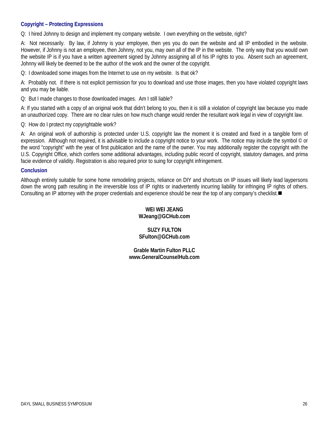#### **Copyright – Protecting Expressions**

Q: I hired Johnny to design and implement my company website. I own everything on the website, right?

A: Not necessarily. By law, if Johnny is your employee, then yes you do own the website and all IP embodied in the website. However, if Johnny is not an employee, then Johnny, not you, may own all of the IP in the website. The only way that you would own the website IP is if you have a written agreement signed by Johnny assigning all of his IP rights to you. Absent such an agreement, Johnny will likely be deemed to be the author of the work and the owner of the copyright.

Q: I downloaded some images from the Internet to use on my website. Is that ok?

A: Probably not. If there is not explicit permission for you to download and use those images, then you have violated copyright laws and you may be liable.

Q: But I made changes to those downloaded images. Am I still liable?

A: If you started with a copy of an original work that didn't belong to you, then it is still a violation of copyright law because you made an unauthorized copy. There are no clear rules on how much change would render the resultant work legal in view of copyright law.

Q: How do I protect my copyrightable work?

A: An original work of authorship is protected under U.S. copyright law the moment it is created and fixed in a tangible form of expression. Although not required, it is advisable to include a copyright notice to your work. The notice may include the symbol © or the word "copyright" with the year of first publication and the name of the owner. You may additionally register the copyright with the U.S. Copyright Office, which confers some additional advantages, including public record of copyright, statutory damages, and prima facie evidence of validity. Registration is also required prior to suing for copyright infringement.

#### **Conclusion**

Although entirely suitable for some home remodeling projects, reliance on DIY and shortcuts on IP issues will likely lead laypersons down the wrong path resulting in the irreversible loss of IP rights or inadvertently incurring liability for infringing IP rights of others. Consulting an IP attorney with the proper credentials and experience should be near the top of any company's checklist.

### **WEI WEI JEANG WJeang@GCHub.com**

**SUZY FULTON SFulton@GCHub.com** 

**Grable Martin Fulton PLLC www.GeneralCounselHub.com**